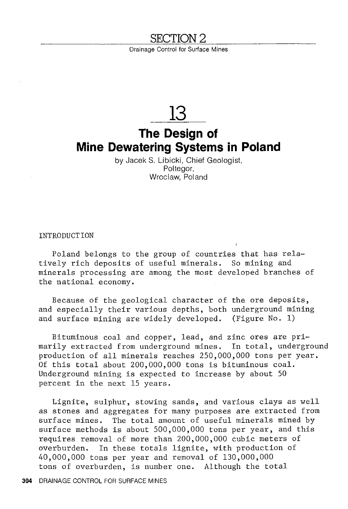#### **SECTION2**

Drainage Control for Surface Mines

## **13**

## **The Design of Mine Dewatering Systems in Poland**

by Jacek S. Libicki, Chief Geologist, Poltegor, Wroclaw, Poland

**INTRODUCTION** 

Poland belongs to the group of countries that has relatively rich deposits of useful minerals. So mining and minerals processing are among the most developed branches of the national economy.

Because of the geological character of the ore deposits, and especially their various depths, both underground mining and surface mining are widely developed. (Figure No. 1)

Bituminous coal and copper, lead, and zinc ores are primarily extracted from underground mines. In total, underground production of all minerals reaches 250,000,000 tons per year. Of this total about 200,000,000 tons is bituminous coal. Underground mining is expected to increase by about 50 percent in the next 15 years.

Lignite, sulphur, stowing sands, and various clays as well as stones and aggregates for many purposes are extracted from surface mines. The total amount of useful minerals mined by surface methods is about 500,000,000 tons per year, and this requires removal of more than 200,000,000 cubic meters of overburden. In these totals lignite, with production of 40,000,000 tons per year and removal of 130,000,000 tons of overburden, is number one. Although the total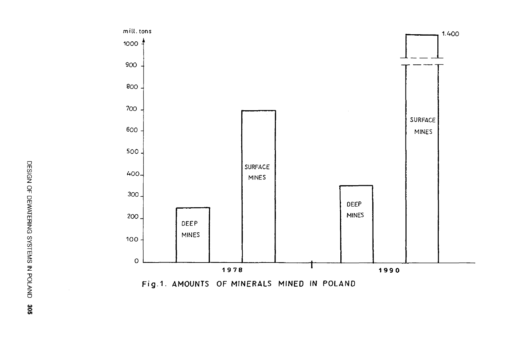

Fig.1. AMOUNTS OF MINERALS MINED IN POLAND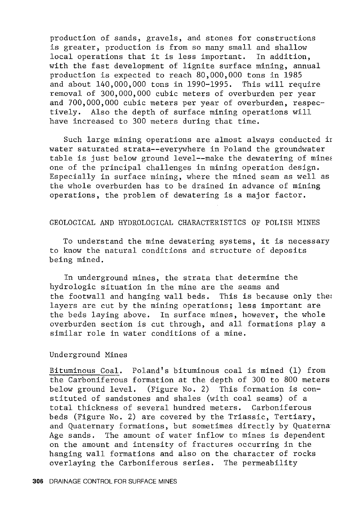production of sands, gravels, and stones for constructions is greater, production is from so many small and shallow<br>local operations that it is less important. In addition, local operations that it is less important. with the fast development of lignite surface mining, annual production is expected to reach 80,000,000 tons in 1985 and about 140,000,000 tons in 1990-1995. This will require removal of 300,000,000 cubic meters of overburden per year and 700,000,000 cubic meters per year of overburden, respectively. Also the depth of surface mining operations will have increased to 300 meters during that time.

Such large mining operations are almost always conducted ir water saturated strata--everywhere in Poland the groundwater table is just below ground level--make the dewatering of mines one of the principal challenges in mining operation design. Especially in surface mining, where the mined seam as well as the whole overburden has to be drained in advance of mining operations, the problem of dewatering is a major factor.

#### GEOLOGICAL AND HYDROLOGICAL CHARACTERISTICS OF POLISH MINES

To understand the mine dewatering systems, it is necessary to know the natural conditions and structure of deposits being mined.

In underground mines, the strata that determine the hydrologic situation in the mine are the seams and the footwall and hanging wall beds. This is because only the: layers are cut by the mining operations; less important are the beds laying above. In surface mines, however, the whole overburden section is cut through, and all formations play a similar role in water conditions of a mine.

#### Underground Mines

Bituminous Coal. Poland's bituminous coal is mined (1) from the Carboniferous formation at the depth of 300 to 800 meters below ground level. (Figure No. 2) This formation is constituted of sandstones and shales (with coal seams) of a total thickness of several hundred meters. Carboniferous beds (Figure No. 2) are covered by the Triassic, Tertiary, and Quaternary formations, but sometimes directly by Quaterna Age sands. The amount of water inflow to mines is dependent on the amount and intensity of fractures occurring in the hanging wall formations and also on the character of rocks overlaying the Carboniferous series. The permeability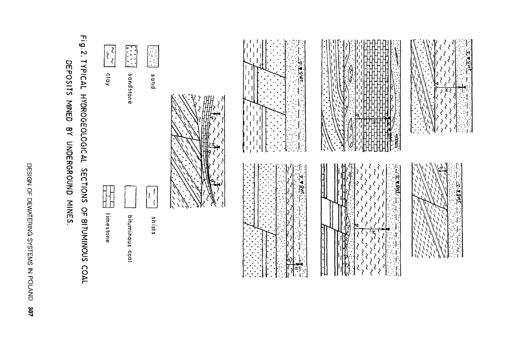|                                            | OSITS MINED BY UNDERGROUND MINES. |
|--------------------------------------------|-----------------------------------|
| DESIGN OF DEWATERING SYSTEMS IN POLAND 307 |                                   |
|                                            |                                   |

# $\sum_{i=1}^{n}$ TYPICAL HYDROGEOLOGICAL DEPOSITS MINED SECTIONS OF BITUMINOUS COAL

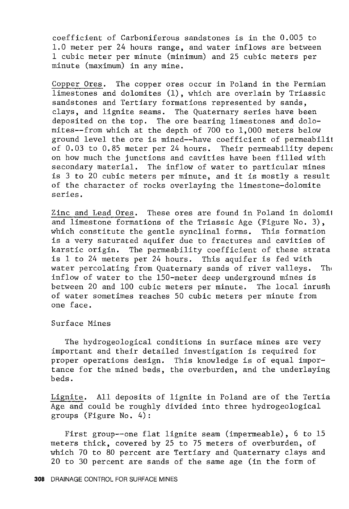coefficient of Carboniferous sandstones is in the 0.005 to 1.0 meter per 24 hours range, and water inflows are between 1 cubic meter per minute (minimum) and 25 cubic meters per minute (maximum) in any mine.

Copper Ores. The copper ores occur in Poland in the Permian limestones and dolomites (1), which are overlain by Triassic sandstones and Tertiary formations represented by sands, clays, and lignite seams. The Quaternary series have been deposited on the top. The ore bearing limestones and dolomites--from which at the depth of 700 to 1,000 meters' below ground level the ore is mined--have coefficient of permeabilit of 0.03 to 0.85 meter per 24 hours. Their permeability depenc on how much the junctions and cavities have been filled with secondary material. The inflow of water to particular mines is 3 to 20 cubic meters per minute, and it is mostly a result of the character of rocks overlaying the limestone-dolomite series.

Zinc and Lead Ores. These ores are found in Poland in dolomi1 and limestone formations of the Triassic Age (Figure No. 3), which constitute the gentle synclinal forms. This formation is a very saturated aquifer due to fractures and cavities of karstic origin. The permeability coefficient of these strata is 1 to 24 meters per 24 hours. This aquifer is fed with water percolating from Quaternary sands of river valleys. The inflow of water to the 150-meter deep underground mines is between 20 and 100 cubic meters per minute. The local inrush of water sometimes reaches 50 cubic meters per minute from one face.

Surf ace Mines

The hydrogeological conditions in surface mines are very important and their detailed investigation is required for proper operations design. This knowledge is of equal importance for the mined beds, the overburden, and the underlaying beds.

Lignite. All deposits of lignite in Poland are of the Tertia Age and could be roughly divided into three hydrogeological groups (Figure No. 4):

First group--one flat lignite seam (impermeable), 6 to 15 meters thick, covered by 25 to 75 meters of overburden, of which 70 to 80 percent are Tertiary and Quaternary clays and 20 to 30 percent are sands of the same age (in the form of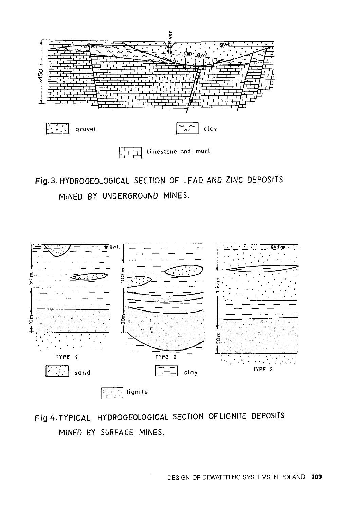

Fig. 3. HYDROGEOLOGICAL SECTION OF LEAD AND ZINC DEPOSITS MINED BY UNDERGROUND MINES.



Fig.4. TYPICAL HYOROGEOLOGICAL SECTION OF LIGNITE DEPOSITS MINEO BY SURFACE MINES.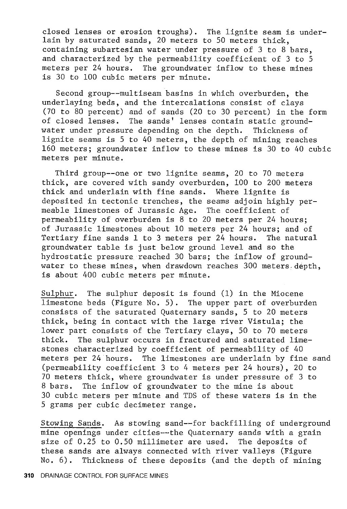closed lenses or erosion troughs). The lignite seam is underlain by saturated sands, 20 meters to 50 meters thick, containing subartesian water under pressure of 3 to 8 bars, and characterized by the permeability coefficient of 3 to 5 meters per 24 hours. The groundwater inflow to these mines The groundwater inflow to these mines is 30 to 100 cubic meters per minute.

Second group--multiseam basins in which overburden, the underlaying beds, and the intercalations consist of clays (70 to 80 percent) and of sands (20 to 30 percent) in the form of closed lenses. The sands' lenses contain static ground-<br>water under pressure depending on the depth. Thickness of water under pressure depending on the depth. lignite seams is 5 to 40 meters, the depth of mining reaches 160 meters; groundwater inflow to these mines is 30 to 40 cubic meters per minute.

Third group--one or two lignite seams, 20 to 70 meters thick, are covered with sandy overburden, 100 to 200 meters thick and underlain with fine sands. Where lignite is deposited in tectonic trenches, the seams adjoin highly permeable limestones of Jurassic Age. The coefficient of permeability of overburden is 8 to 20 meters per 24 hours; of Jurassic limestones about 10 meters per 24 hours; and of Tertiary fine sands 1 to 3 meters per 24 hours. The natural groundwater table is just below ground level and so the hydrostatic pressure reached 30 bars; the inflow of groundwater to these mines, when drawdown reaches 300 meters, depth, is about 400 cubic meters per minute.

Sulphur. The sulphur deposit is found (1) in the Miocene limestone beds (Figure No. 5). The upper part of overburden consists of the saturated Quaternary sands, 5 to 20 meters thick, being in contact with the large river Vistula; the lower part consists of the Tertiary clays, 50 to 70 meters thick. The sulphur occurs in fractured and saturated limestones characterized by coefficient of permeability of 40 meters per 24 hours. The limestones are underlain by fine sand (permeability coefficient 3 to 4 meters per 24 hours), 20 to 70 meters thick, where groundwater is under pressure of 3 to 8 bars. The inflow of groundwater to the mine is about 30 cubic meters per minute and TDS of these waters is in the 5 grams per cubic decimeter range.

Stowing Sands. As stowing sand--for backfilling of underground mine openings under cities--the Quaternary sands with a grain size of 0.25 to 0.50 millimeter are used. The deposits of these sands are always connected with river valleys (Figure No. 6). Thickness of these deposits (and the depth of mining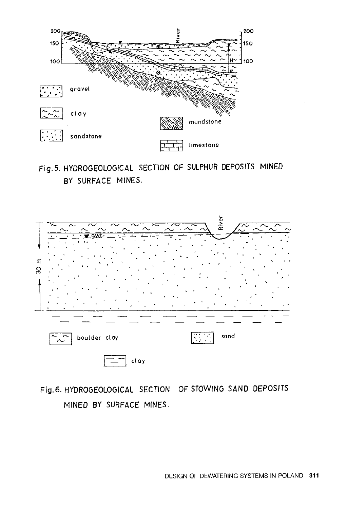

### Fig. 5. HYDROGEOLOGICAL SECTION OF SULPHUR DEPOSITS MINED BY SURFACE MINES.



## Fig. 6. HYDROGEOLOGICAL SECTION OF STOWING SAND DEPOSITS MINED BY SURFACE MINES.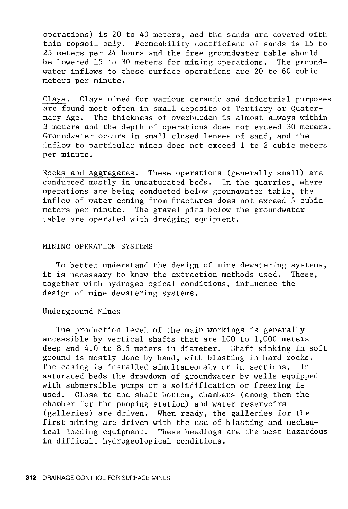operations) is 20 to 40 meters, and the sands are covered with thin topsoil only. Permeability coefficient of sands is 15 to 25 meters per 24 hours and the free groundwater table should be lowered 15 to 30 meters for mining operations. The groundwater inflows to these surface operations are 20 to 60 cubic meters per minute.

Clays. Clays mined for various ceramic and industrial purposes are found most often in small deposits of Tertiary or Quaternary Age. The thickness of overburden is almost always within 3 meters and the depth of operations does not exceed 30 meters. Groundwater occurs in small closed lenses of sand, and the inflow to particular mines does not exceed 1 to 2 cubic meters per minute.

Rocks and Aggregates. These operations (generally small) are conducted mostly in unsaturated beds. In the quarries, where operations are being conducted below groundwater table, the inflow of water coming from fractures does not exceed 3 cubic meters per minute. The gravel pits below the groundwater table are operated with dredging equipment.

#### MINING OPERATION SYSTEMS

To better understand the design of mine dewatering systems, it is necessary to know the extraction methods used. These, together with hydrogeological conditions, influence the design of mine dewatering systems.

#### Underground Mines

The production level of the main workings is generally accessible by vertical shafts that are 100 to 1,000 meters deep and 4.0 to 8.5 meters in diameter. Shaft sinking in soft ground is mostly done by hand, with blasting in hard rocks. The casing is installed simultaneously or in sections. In saturated beds the drawdown of groundwater by wells equipped with submersible pumps or a solidification or freezing is used. Close to the shaft bottom, chambers (among them the chamber for the pumping station) and water reservoirs (galleries) are driven. When ready, the galleries for the first mining are driven with the use of blasting and mechanical loading equipment. These headings are the most hazardous in difficult hydrogeological conditions.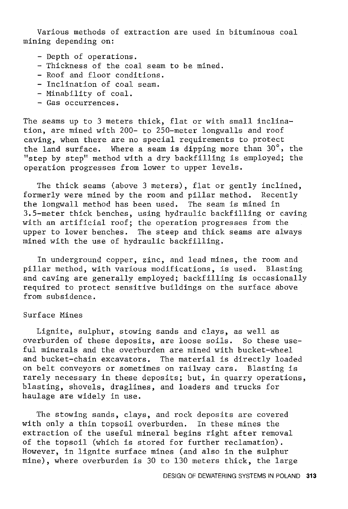Various methods of extraction are used in bituminous coal mining depending on:

- Depth of operations.
- Thickness of the coal seam to be mined.
- Roof and floor conditions.
- Inclination of coal seam.
- Minability of coal.
- Gas occurrences.

The seams up to 3 meters thick, flat or with small inclination, are mined with 200- to 250-meter longwalls and roof caving, when there are no special requirements to protect the land surface. Where a seam is dipping more than 30°, the "step by step" method with a dry backfilling is employed; the operation progresses from lower to upper levels.

The thick seams (above 3 meters), flat or gently inclined, formerly were mined by the room and pillar method. Recently the longwall method has been used. The seam is mined in 3.5-meter thick benches, using hydraulic backfilling or caving with an artificial roof; the operation progresses from the upper to lower benches. The steep and thick seams are always mined with the use of hydraulic backfilling.

In underground copper, zinc, and lead mines, the room and pillar method, with various modifications, is used. Blasting and caving are generally employed; backfilling is occasionally required to protect sensitive buildings on the surface above from subsidence.

#### Surface Mines

Lignite, sulphur, stowing sands and clays, as well as overburden of these deposits, are loose soils. So these useful minerals and the overburden are mined with bucket-wheel and bucket-chain excavators. The material is directly loaded on belt conveyors or sometimes on railway cars. Blasting is rarely necessary in these deposits; but, in quarry operations, blasting, shovels, draglines, and loaders and trucks for haulage are widely in use.

The stowing sands, clays, and rock deposits are covered with only a thin topsoil overburden. In these mines the extraction of the useful mineral begins right after removal of the topsoil (which is stored for further reclamation). However, in lignite surface mines (and also in the sulphur mine), where overburden is 30 to 130 meters thick, the large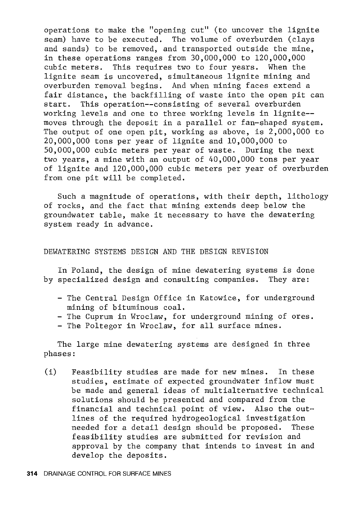operations to make the "opening cut" (to uncover the lignite seam) have to be executed. The volume of overburden (clays and sands) to be removed, and transported outside the mine, in these operations ranges from 30,000,000 to 120,000,000 cubic meters. This requires two to four years. When the lignite seam is uncovered, simultaneous lignite mining and overburden removal begins. And when mining faces extend a fair distance, the backfilling of waste into the open pit can start. This operation--consisting of several overburden working levels and one to three working levels in lignite- moves through the deposit in a parallel or fan-shaped system. The output of one open pit, working as above, is 2,000,000 to 20,000,000 tons per year of lignite and 10,000,000 to 50,000,000 cubic meters per year of waste. During the next two years, a mine with an output of 40,000,000 tons per year of lignite and 120,000,000 cubic meters per year of overburden from one pit will be completed.

Such a magnitude of operations, with their depth, lithology of rocks, and the fact that mining extends deep below the groundwater table, make it necessary to have the dewatering system ready in advance.

#### DEWATERING SYSTEMS DESIGN AND THE DESIGN REVISION

In Poland, the design of mine dewatering systems is done by specialized design and consulting companies. They are:

- The Central Design Office in Katowice, for underground mining of bituminous coal.
- The Cuprum in Wroclaw, for underground mining of ores.
- The Poltegor in Wroclaw, for all surface mines.

The large mine dewatering systems are designed in three phases:

(i) Feasibility studies are made for new mines. In these studies, estimate of expected groundwater inflow must be made and general ideas of multialternative technical solutions should be presented and compared from the financial and technical point of view. Also the outlines of the required hydrogeological investigation needed for a detail design should be proposed. These feasibility studies are submitted for revision and approval by the company that intends to invest in and develop the deposits.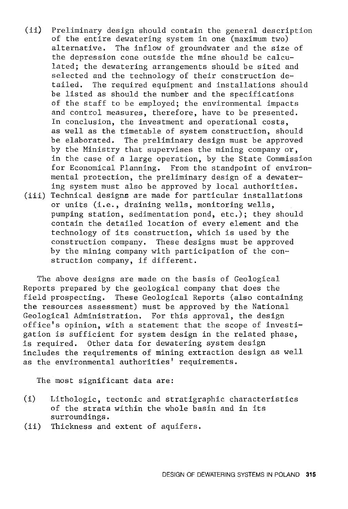(ii) Preliminary design should contain the general description of the entire dewatering system in one (maximum two) alternative. The inflow of groundwater and the size of the depression cone outside the mine should be calculated; the dewatering arrangements should be sited and selected and the technology of their construction detailed. The required equipment and installations should be listed as should the number and the specifications of the staff to be employed; the environmental impacts and control measures, therefore, have to be presented. In conclusion, the investment and operational costs, as well as the timetable of system construction, should be elaborated, The preliminary design must be approved by the Ministry that supervises the mining company or, in the case of a large operation, by the State Commission for Economical Planning. From the standpoint of environmental protection, the preliminary design of a dewatering system must also be approved by local authorities. (iii) Technical designs are made for particular installations or units (i.e., draining wells, monitoring wells, pumping station, sedimentation pond, etc.); they should contain the detailed location of every element and the technology of its construction, which is used by the construction company. These designs must be approved by the mining company with participation of the construction company, if different.

The above designs are made on the basis of Geological Reports prepared by the geological company that does the field prospecting. These Geological Reports (also containing the resources assessment) must be approved by the National Geological Administration. For this approval, the design office's opinion, with a statement that the scope of investigation is sufficient for system design in the related phase, is required. Other data for dewatering system design includes the requirements of mining extraction design as well as the environmental authorities' requirements.

The most significant data are:

- (i) Lithologic, tectonic and stratigraphic characteristics of the strata within the whole basin and in its surroundings.
- (ii) Thickness and extent of aquifers.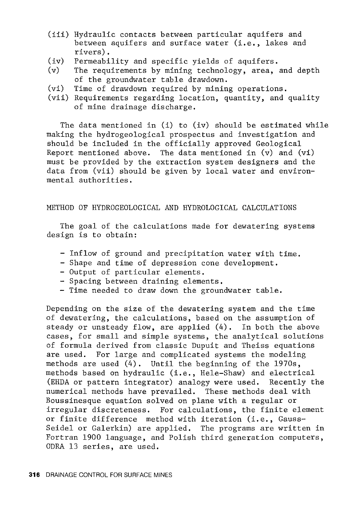- (iii) Hydraulic contacts between particular aquifers and between aquifers and surface water (i.e., lakes and rivers).
- (iv) Permeability and specific yields of aquifers.
- (v) The requirements by mining technology, area, and depth of the groundwater table drawdown.
- $(vi)$ Time of drawdown required by mining operations.
- (vii) Requirements regarding location, quantity, and quality of mine drainage discharge.

The data mentioned in (i) to (iv) should be estimated while making the hydrogeological prospectus and investigation and should be included in the officially approved Geological Report mentioned above. The data mentioned in  $(v)$  and  $(vi)$ must be provided by the extraction system designers and the data from (vii) should be given by local water and environmental authorities.

#### METHOD OF HYDROGEOLOGICAL AND HYDROLOGICAL CALCULATIONS

The goal of the calculations made for dewatering systems design is to obtain:

- Inflow of ground and precipitation water with time.
- Shape and time of depression cone development.
- Output of particular elements.
- Spacing between draining elements.
- Time needed to draw down the groundwater table.

Depending on the size of the dewatering system and the time of dewatering, the calculations, based on the assumption of steady or unsteady flow, are applied (4). In both the above cases, for small and simple systems, the analytical solutions of formula derived from classic Dupuit and Theiss equations are used. For large and complicated systems the modeling methods are used (4). Until the beginning of the 1970s, methods based on hydraulic (i.e., Hele-Shaw) and electrical (ERDA or pattern integrator) analogy were used. Recently the numerical methods have prevailed. These methods deal with Boussinesque equation solved on plane with a regular or irregular discreteness. For calculations, the finite element or finite difference method with iteration (i.e., Gauss-Seidel or Galerkin) are applied. The programs are written in Fortran 1900 language, and Polish third generation computers, ODRA 13 series, are used.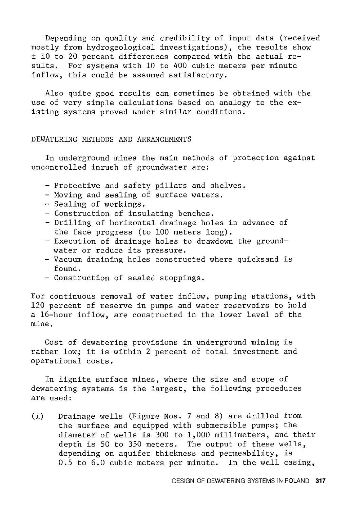Depending on quality and credibility of input data (received mostly from hydrogeological investigations), the results show ± 10 to 20 percent differences compared with the actual results. For systems with 10 to 400 cubic meters per minute inflow, this could be assumed satisfactory.

Also quite good results can sometimes be obtained with the use of very simple calculations based on analogy to the existing systems proved under similar conditions.

#### DEWATERING METHODS AND ARRANGEMENTS

In underground mines the main methods of protection against uncontrolled inrush of groundwater are:

- Protective and safety pillars and shelves.
- Moving and sealing of surface waters.
- Sealing of workings.
- Construction of insulating benches.
- Drilling of horizontal drainage holes in advance of the face progress (to 100 meters long).
- Execution of drainage holes to drawdown the groundwater or reduce its pressure.
- Vacuum draining holes constructed where quicksand is found.
- Construction of sealed stoppings.

For continuous removal of water inflow, pumping stations, with 120 percent of reserve in pumps and water reservoirs to hold a 16-hour inflow, are constructed in the lower level of the mine,

Cost of dewatering provisions in underground mining is rather low; it is within 2 percent of total investment and operational costs.

In lignite surface mines, where the size and scope of dewatering systems is the largest, the following procedures are used:

(i) Drainage wells (Figure Nos. 7 and 8) are drilled from the surface and equipped with submersible pumps; the diameter of wells is 300 to 1,000 millimeters, and their depth is 50 to 350 meters. The output of these wells, depending on aquifer thickness and permeability, is 0.5 to 6.0 cubic meters per minute. In the well casing,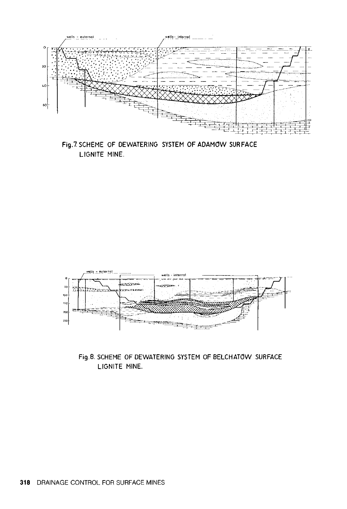





Fig.8. SCHEME OF DEWATERING SYSTEM OF BELCHATOW SURFACE LIGNITE MINE.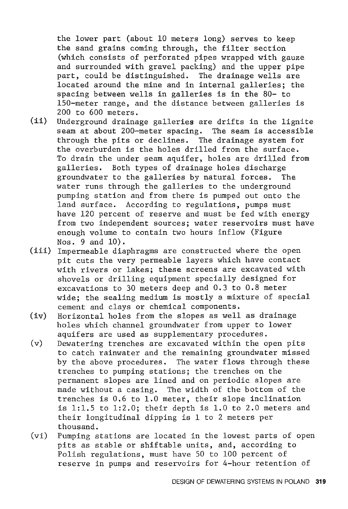the lower part (about 10 meters long) serves to keep the sand grains coming through, the filter section (which consists of perforated pipes wrapped with gauze and surrounded with gravel packing) and the upper pipe part, could be distinguished. The drainage wells are located around the mine and in internal galleries; the spacing between wells in galleries is in the 80- to 150-meter range, and the distance between galleries is 200 to 600 meters.

- (ii) Underground drainage galleries are drifts in the lignite seam at about 200-meter spacing. The seam is accessible through the pits or declines. The drainage system for the overburden is the holes drilled from the surface. To drain the under seam aquifer, holes are drilled from galleries. Both types of drainage holes discharge groundwater to the galleries by natural forces. The water runs through the galleries to the underground pumping station and from there is pumped out onto the land surface. According to regulations, pumps must have 120 percent of reserve and must be fed with energy from two independent sources; water reservoirs must have enough volume to contain two hours inflow (Figure Nos. 9 and 10).
- (iii) Impermeable diaphragms are constructed where the open pit cuts the very permeable layers which have contact with rivers or lakes; these screens are excavated with shovels or drilling equipment specially designed for excavations to 30 meters deep and 0.3 to 0.8 meter wide; the sealing medium is mostly a mixture of special cement and clays or chemical components.
- (iv) Horizontal holes from the slopes as well as drainage holes which channel groundwater from upper to lower aquifers are used as supplementary procedures.
- (v) Dewatering trenches are excavated within the open pits to catch rainwater and the remaining groundwater missed by the above procedures. The water flows through these trenches to pumping stations; the trenches on the permanent slopes are lined and on periodic slopes are made without a casing. The width of the bottom of the trenches is 0.6 to 1.0 meter, their slope inclination is 1:1.5 to 1:2.0; their depth is 1.0 to 2.0 meters and their longitudinal dipping is 1 to 2 meters per thousand.
- (vi) Pumping stations are located in the lowest parts of open pits as stable or shiftable units, and, according to Polish regulations, must have 50 to 100 percent of reserve in pumps and reservoirs for 4-hour retention of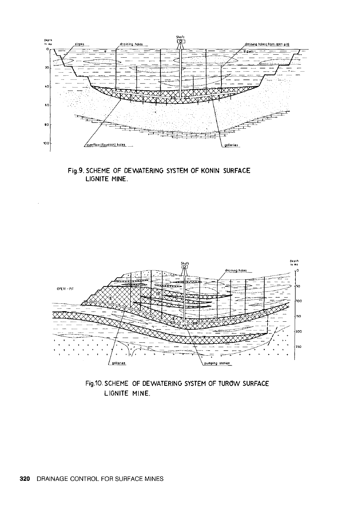

Fig.9. SCHEME OF DEWATERING SYSTEM OF KONIN SURFACE LIGNITE MINE.



Fig.10. SCHEME OF DEWATERING SYSTEM OF TUROW SURFACE LIGNITE MINE.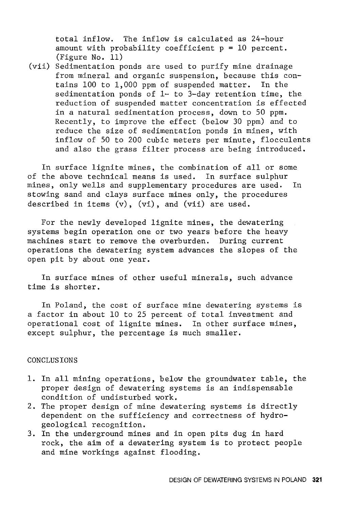total inflow. The inflow is calculated as 24-hour amount with probability coefficient  $p = 10$  percent. (Figure No. 11)

(vii) Sedimentation ponds are used to purify mine drainage from mineral and organic suspension, because this contains 100 to 1,000 ppm of suspended matter. In the sedimentation ponds of 1- to 3-day retention time, the reduction of suspended matter concentration is effected in a natural sedimentation process, down to 50 ppm. Recently, to improve the effect (below 30 ppm) and to reduce the size of sedimentation ponds in mines, with inflow of 50 to 200 cubic meters per minute, flocculents and also the grass filter process are being introduced.

In surface lignite mines, the combination of all or some of the above technical means is used. In surface sulphur mines, only wells and supplementary procedures are used. In stowing sand and clays surface mines only, the procedures described in items (v), (vi), and (vii) are used.

For the newly developed lignite mines, the dewatering systems begin operation one or two years before the heavy machines start to remove the overburden. During current operations the dewatering system advances the slopes of the open pit by about one year.

In surface mines of other useful minerals, such advance time is shorter.

In Poland, the cost of surface mine dewatering systems is a factor in about 10 to 25 percent of total investment and operational cost of lignite mines. In other surface mines, except sulphur, the percentage is much smaller.

#### CONCLUSIONS

- 1. In all mining operations, below the groundwater table, the proper design of dewatering systems is an indispensable condition of undisturbed work.
- 2. The proper design of mine dewatering systems is directly dependent on the sufficiency and correctness of hydrogeological recognition.
- 3. In the underground mines and in open pits dug in hard rock, the aim of a dewatering system is to protect people and mine workings against flooding.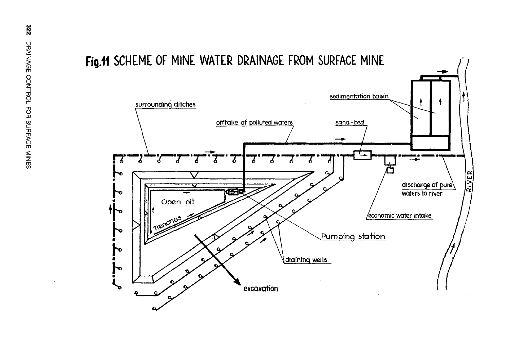

## Fig.11 SCHEME OF MINE WATER DRAINAGE FROM SURFACE MINE